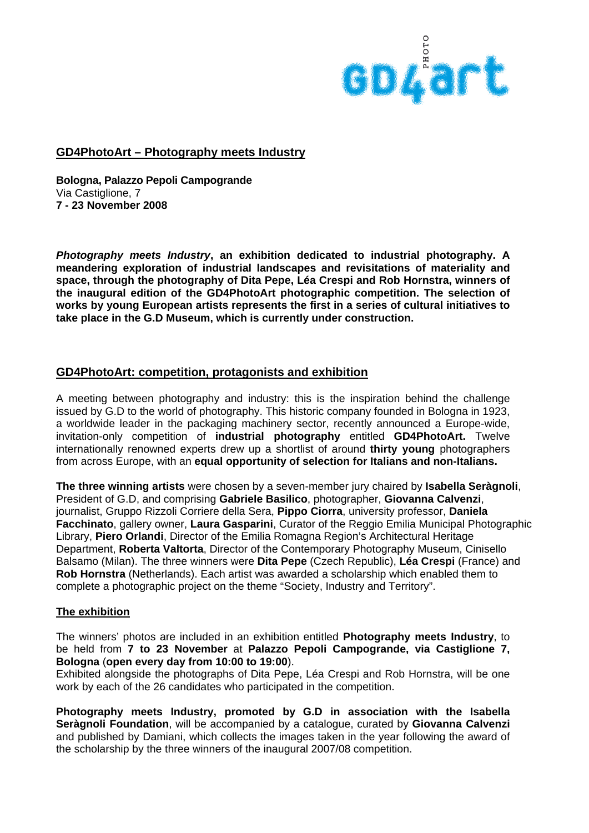

### **GD4PhotoArt – Photography meets Industry**

**Bologna, Palazzo Pepoli Campogrande**  Via Castiglione, 7 **7 - 23 November 2008** 

*Photography meets Industry***, an exhibition dedicated to industrial photography. A meandering exploration of industrial landscapes and revisitations of materiality and space, through the photography of Dita Pepe, Léa Crespi and Rob Hornstra, winners of the inaugural edition of the GD4PhotoArt photographic competition. The selection of works by young European artists represents the first in a series of cultural initiatives to take place in the G.D Museum, which is currently under construction.** 

## **GD4PhotoArt: competition, protagonists and exhibition**

A meeting between photography and industry: this is the inspiration behind the challenge issued by G.D to the world of photography. This historic company founded in Bologna in 1923, a worldwide leader in the packaging machinery sector, recently announced a Europe-wide, invitation-only competition of **industrial photography** entitled **GD4PhotoArt.** Twelve internationally renowned experts drew up a shortlist of around **thirty young** photographers from across Europe, with an **equal opportunity of selection for Italians and non-Italians.** 

**The three winning artists** were chosen by a seven-member jury chaired by **Isabella Seràgnoli**, President of G.D, and comprising **Gabriele Basilico**, photographer, **Giovanna Calvenzi**, journalist, Gruppo Rizzoli Corriere della Sera, **Pippo Ciorra**, university professor, **Daniela Facchinato**, gallery owner, **Laura Gasparini**, Curator of the Reggio Emilia Municipal Photographic Library, **Piero Orlandi**, Director of the Emilia Romagna Region's Architectural Heritage Department, **Roberta Valtorta**, Director of the Contemporary Photography Museum, Cinisello Balsamo (Milan). The three winners were **Dita Pepe** (Czech Republic), **Léa Crespi** (France) and **Rob Hornstra** (Netherlands). Each artist was awarded a scholarship which enabled them to complete a photographic project on the theme "Society, Industry and Territory".

#### **The exhibition**

The winners' photos are included in an exhibition entitled **Photography meets Industry**, to be held from **7 to 23 November** at **Palazzo Pepoli Campogrande, via Castiglione 7, Bologna** (**open every day from 10:00 to 19:00**).

Exhibited alongside the photographs of Dita Pepe, Léa Crespi and Rob Hornstra, will be one work by each of the 26 candidates who participated in the competition.

**Photography meets Industry, promoted by G.D in association with the Isabella Seràgnoli Foundation**, will be accompanied by a catalogue, curated by **Giovanna Calvenzi** and published by Damiani, which collects the images taken in the year following the award of the scholarship by the three winners of the inaugural 2007/08 competition.